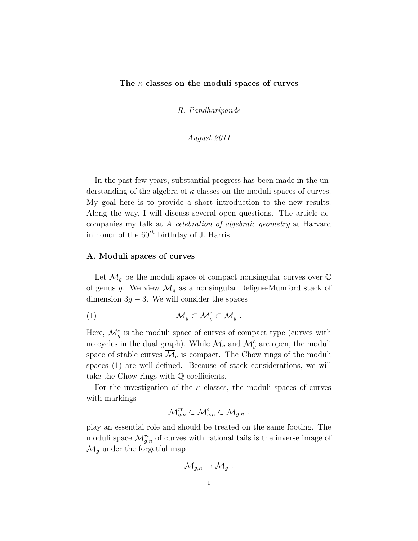## The  $\kappa$  classes on the moduli spaces of curves

R. Pandharipande

August 2011

In the past few years, substantial progress has been made in the understanding of the algebra of  $\kappa$  classes on the moduli spaces of curves. My goal here is to provide a short introduction to the new results. Along the way, I will discuss several open questions. The article accompanies my talk at A celebration of algebraic geometry at Harvard in honor of the  $60^{th}$  birthday of J. Harris.

### A. Moduli spaces of curves

Let  $\mathcal{M}_g$  be the moduli space of compact nonsingular curves over  $\mathbb C$ of genus g. We view  $\mathcal{M}_g$  as a nonsingular Deligne-Mumford stack of dimension  $3g - 3$ . We will consider the spaces

(1) M<sup>g</sup> ⊂ M<sup>c</sup> <sup>g</sup> ⊂ M<sup>g</sup> .

Here,  $\mathcal{M}_g^c$  is the moduli space of curves of compact type (curves with no cycles in the dual graph). While  $\mathcal{M}_g$  and  $\mathcal{M}_g^c$  are open, the moduli space of stable curves  $\overline{\mathcal{M}}_g$  is compact. The Chow rings of the moduli spaces (1) are well-defined. Because of stack considerations, we will take the Chow rings with Q-coefficients.

For the investigation of the  $\kappa$  classes, the moduli spaces of curves with markings

$$
\mathcal M_{g,n}^{rt} \subset \mathcal M_{g,n}^c \subset \overline{\mathcal M}_{g,n} .
$$

play an essential role and should be treated on the same footing. The moduli space  $\mathcal{M}_{g,n}^{rt}$  of curves with rational tails is the inverse image of  $\mathcal{M}_g$  under the forgetful map

$$
\overline{\mathcal{M}}_{g,n}\to \overline{\mathcal{M}}_g\,\,.
$$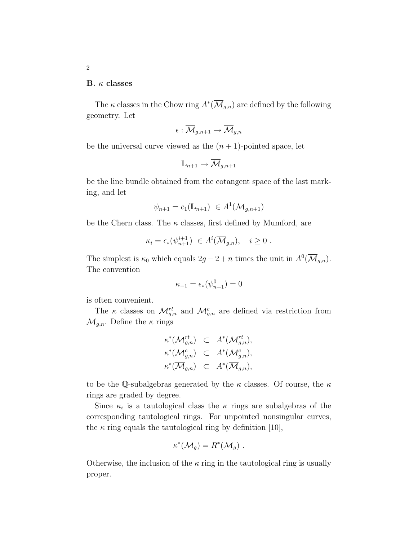### B.  $\kappa$  classes

The  $\kappa$  classes in the Chow ring  $A^*(\overline{\mathcal{M}}_{g,n})$  are defined by the following geometry. Let

$$
\epsilon:\overline{\mathcal{M}}_{g,n+1}\to\overline{\mathcal{M}}_{g,n}
$$

be the universal curve viewed as the  $(n + 1)$ -pointed space, let

$$
\mathbb{L}_{n+1} \to \overline{\mathcal{M}}_{g,n+1}
$$

be the line bundle obtained from the cotangent space of the last marking, and let

$$
\psi_{n+1} = c_1(\mathbb{L}_{n+1}) \in A^1(\overline{\mathcal{M}}_{g,n+1})
$$

be the Chern class. The  $\kappa$  classes, first defined by Mumford, are

$$
\kappa_i = \epsilon_*(\psi_{n+1}^{i+1}) \in A^i(\overline{\mathcal{M}}_{g,n}), \quad i \ge 0.
$$

The simplest is  $\kappa_0$  which equals  $2g - 2 + n$  times the unit in  $A^0(\overline{\mathcal{M}}_{g,n}).$ The convention

$$
\kappa_{-1} = \epsilon_*(\psi_{n+1}^0) = 0
$$

is often convenient.

The  $\kappa$  classes on  $\mathcal{M}_{g,n}^{rt}$  and  $\mathcal{M}_{g,n}^{c}$  are defined via restriction from  $\mathcal{M}_{q,n}$ . Define the  $\kappa$  rings

$$
\begin{aligned}\n\kappa^*(\mathcal{M}_{g,n}^{rt}) &\subset A^*(\mathcal{M}_{g,n}^{rt}), \\
\kappa^*(\mathcal{M}_{g,n}^c) &\subset A^*(\mathcal{M}_{g,n}^c), \\
\kappa^*(\overline{\mathcal{M}}_{g,n}) &\subset A^*(\overline{\mathcal{M}}_{g,n}),\n\end{aligned}
$$

to be the Q-subalgebras generated by the  $\kappa$  classes. Of course, the  $\kappa$ rings are graded by degree.

Since  $\kappa_i$  is a tautological class the  $\kappa$  rings are subalgebras of the corresponding tautological rings. For unpointed nonsingular curves, the  $\kappa$  ring equals the tautological ring by definition [10],

$$
\kappa^*(\mathcal{M}_g) = R^*(\mathcal{M}_g) .
$$

Otherwise, the inclusion of the  $\kappa$  ring in the tautological ring is usually proper.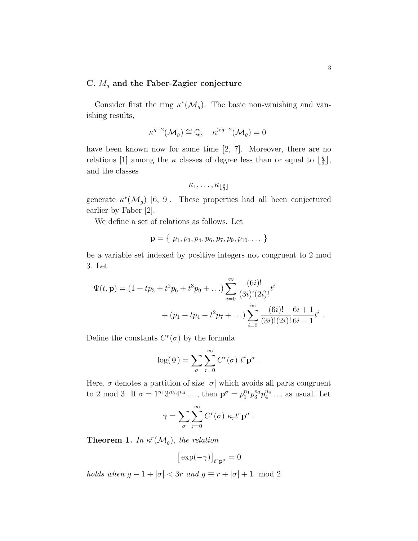# C.  $M_g$  and the Faber-Zagier conjecture

Consider first the ring  $\kappa^*(\mathcal{M}_g)$ . The basic non-vanishing and vanishing results,

$$
\kappa^{g-2}(\mathcal{M}_g) \cong \mathbb{Q}, \quad \kappa^{>g-2}(\mathcal{M}_g) = 0
$$

have been known now for some time [2, 7]. Moreover, there are no relations [1] among the  $\kappa$  classes of degree less than or equal to  $\frac{g}{3}$  $\frac{g}{3}$ , and the classes

$$
\kappa_1,\ldots,\kappa_{\lfloor \frac{g}{3} \rfloor}
$$

generate  $\kappa^*(\mathcal{M}_g)$  [6, 9]. These properties had all been conjectured earlier by Faber [2].

We define a set of relations as follows. Let

$$
\mathbf{p} = \{p_1, p_3, p_4, p_6, p_7, p_9, p_{10}, \dots\}
$$

be a variable set indexed by positive integers not congruent to 2 mod 3. Let

$$
\Psi(t, \mathbf{p}) = (1 + tp_3 + t^2 p_6 + t^3 p_9 + ...) \sum_{i=0}^{\infty} \frac{(6i)!}{(3i)!(2i)!} t^i
$$
  
+  $(p_1 + tp_4 + t^2 p_7 + ...) \sum_{i=0}^{\infty} \frac{(6i)!}{(3i)!(2i)!} \frac{6i+1}{6i-1} t^i$ 

Define the constants  $C<sup>r</sup>(\sigma)$  by the formula

$$
\log(\Psi) = \sum_{\sigma} \sum_{r=0}^{\infty} C^r(\sigma) \ t^r \mathbf{p}^{\sigma} .
$$

Here,  $\sigma$  denotes a partition of size  $|\sigma|$  which avoids all parts congruent to 2 mod 3. If  $\sigma = 1^{n_1} 3^{n_3} 4^{n_4} \dots$ , then  $\mathbf{p}^{\sigma} = p_1^{n_1} p_3^{n_3} p_4^{n_4}$  $\frac{n_4}{4} \ldots$  as usual. Let

$$
\gamma = \sum_{\sigma} \sum_{r=0}^{\infty} C^r(\sigma) \kappa_r t^r \mathbf{p}^{\sigma} .
$$

**Theorem 1.** In  $\kappa^r(\mathcal{M}_g)$ , the relation

$$
\big[\exp(-\gamma)\big]_{t^r\mathbf{p}^\sigma}=0
$$

holds when  $g - 1 + |\sigma| < 3r$  and  $g \equiv r + |\sigma| + 1 \mod 2$ .

.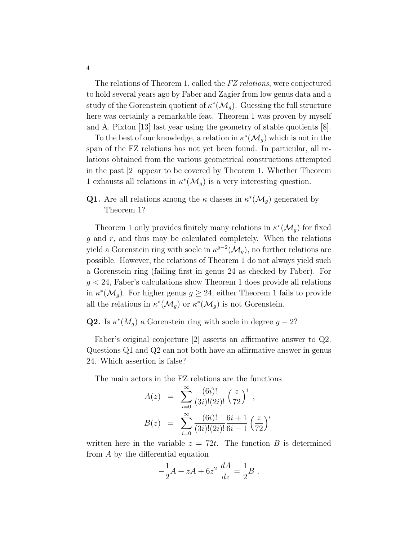The relations of Theorem 1, called the FZ relations, were conjectured to hold several years ago by Faber and Zagier from low genus data and a study of the Gorenstein quotient of  $\kappa^*(\mathcal{M}_g)$ . Guessing the full structure here was certainly a remarkable feat. Theorem 1 was proven by myself and A. Pixton [13] last year using the geometry of stable quotients [8].

To the best of our knowledge, a relation in  $\kappa^*(\mathcal{M}_g)$  which is not in the span of the FZ relations has not yet been found. In particular, all relations obtained from the various geometrical constructions attempted in the past [2] appear to be covered by Theorem 1. Whether Theorem 1 exhausts all relations in  $\kappa^*(\mathcal{M}_g)$  is a very interesting question.

**Q1.** Are all relations among the  $\kappa$  classes in  $\kappa^*(\mathcal{M}_g)$  generated by Theorem 1?

Theorem 1 only provides finitely many relations in  $\kappa^r(\mathcal{M}_g)$  for fixed  $g$  and  $r$ , and thus may be calculated completely. When the relations yield a Gorenstein ring with socle in  $\kappa^{g-2}(\mathcal{M}_g)$ , no further relations are possible. However, the relations of Theorem 1 do not always yield such a Gorenstein ring (failing first in genus 24 as checked by Faber). For  $g < 24$ , Faber's calculations show Theorem 1 does provide all relations in  $\kappa^*(\mathcal{M}_g)$ . For higher genus  $g \geq 24$ , either Theorem 1 fails to provide all the relations in  $\kappa^*(\mathcal{M}_g)$  or  $\kappa^*(\mathcal{M}_g)$  is not Gorenstein.

**Q2.** Is  $\kappa^*(M_g)$  a Gorenstein ring with socle in degree  $g-2$ ?

Faber's original conjecture [2] asserts an affirmative answer to Q2. Questions Q1 and Q2 can not both have an affirmative answer in genus 24. Which assertion is false?

The main actors in the FZ relations are the functions

$$
A(z) = \sum_{i=0}^{\infty} \frac{(6i)!}{(3i)!(2i)!} \left(\frac{z}{72}\right)^i ,
$$
  

$$
B(z) = \sum_{i=0}^{\infty} \frac{(6i)!}{(3i)!(2i)!} \frac{6i+1}{6i-1} \left(\frac{z}{72}\right)^i
$$

written here in the variable  $z = 72t$ . The function B is determined from A by the differential equation

$$
-\frac{1}{2}A + zA + 6z^2 \frac{dA}{dz} = \frac{1}{2}B.
$$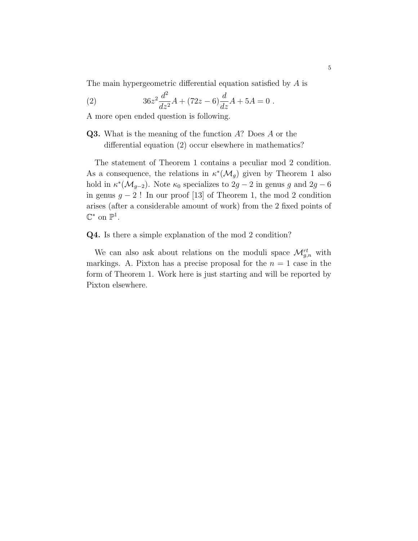The main hypergeometric differential equation satisfied by A is

(2) 
$$
36z^2 \frac{d^2}{dz^2}A + (72z - 6)\frac{d}{dz}A + 5A = 0.
$$

A more open ended question is following.

Q3. What is the meaning of the function A? Does A or the differential equation (2) occur elsewhere in mathematics?

The statement of Theorem 1 contains a peculiar mod 2 condition. As a consequence, the relations in  $\kappa^*(\mathcal{M}_g)$  given by Theorem 1 also hold in  $\kappa^*(\mathcal{M}_{g-2})$ . Note  $\kappa_0$  specializes to  $2g-2$  in genus g and  $2g-6$ in genus  $g - 2!$  In our proof [13] of Theorem 1, the mod 2 condition arises (after a considerable amount of work) from the 2 fixed points of  $\mathbb{C}^*$  on  $\mathbb{P}^1$ .

Q4. Is there a simple explanation of the mod 2 condition?

We can also ask about relations on the moduli space  $\mathcal{M}_{g,n}^{rt}$  with markings. A. Pixton has a precise proposal for the  $n = 1$  case in the form of Theorem 1. Work here is just starting and will be reported by Pixton elsewhere.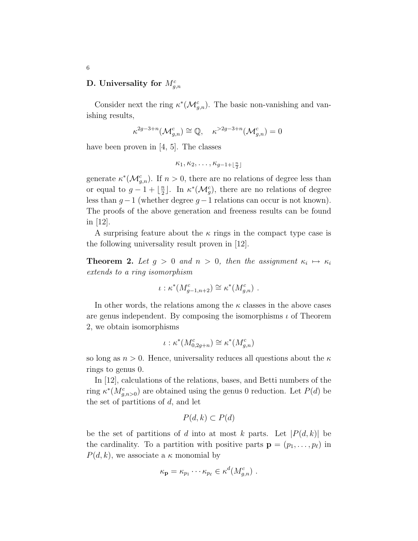# D. Universality for  $M_{g,n}^c$

Consider next the ring  $\kappa^*(\mathcal{M}_{g,n}^c)$ . The basic non-vanishing and vanishing results,

$$
\kappa^{2g-3+n}(\mathcal{M}_{g,n}^c)\cong\mathbb{Q},\quad \kappa^{>2g-3+n}(\mathcal{M}_{g,n}^c)=0
$$

have been proven in [4, 5]. The classes

$$
\kappa_1, \kappa_2, \ldots, \kappa_{g-1+\lfloor \frac{n}{2} \rfloor}
$$

generate  $\kappa^*(\mathcal{M}_{g,n}^c)$ . If  $n > 0$ , there are no relations of degree less than or equal to  $g-1+\lfloor\frac{n}{2}\rfloor$  $\frac{n}{2}$ ]. In  $\kappa^*(\mathcal{M}_g^c)$ , there are no relations of degree less than  $g-1$  (whether degree  $g-1$  relations can occur is not known). The proofs of the above generation and freeness results can be found in [12].

A surprising feature about the  $\kappa$  rings in the compact type case is the following universality result proven in [12].

**Theorem 2.** Let  $g > 0$  and  $n > 0$ , then the assignment  $\kappa_i \mapsto \kappa_i$ extends to a ring isomorphism

$$
\iota: \kappa^*(M_{g-1,n+2}^c) \cong \kappa^*(M_{g,n}^c) \ .
$$

In other words, the relations among the  $\kappa$  classes in the above cases are genus independent. By composing the isomorphisms  $\iota$  of Theorem 2, we obtain isomorphisms

$$
\iota: \kappa^*(M^c_{0,2g+n}) \cong \kappa^*(M^c_{g,n})
$$

so long as  $n > 0$ . Hence, universality reduces all questions about the  $\kappa$ rings to genus 0.

In [12], calculations of the relations, bases, and Betti numbers of the ring  $\kappa^*(M_{g,n>0}^c)$  are obtained using the genus 0 reduction. Let  $P(d)$  be the set of partitions of  $d$ , and let

$$
P(d,k) \subset P(d)
$$

be the set of partitions of d into at most k parts. Let  $|P(d, k)|$  be the cardinality. To a partition with positive parts  $\mathbf{p} = (p_1, \ldots, p_\ell)$  in  $P(d, k)$ , we associate a  $\kappa$  monomial by

$$
\kappa_{\mathbf{p}} = \kappa_{p_1} \cdots \kappa_{p_\ell} \in \kappa^d(M_{g,n}^c) \ .
$$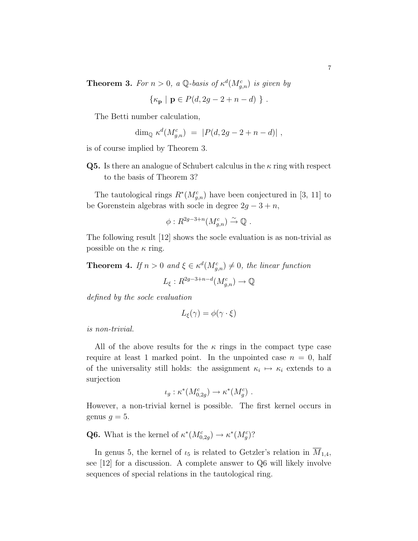**Theorem 3.** For  $n > 0$ , a Q-basis of  $\kappa^d(M_{g,n}^c)$  is given by

$$
\{\kappa_{\mathbf{p}} \mid \mathbf{p} \in P(d, 2g - 2 + n - d) \} .
$$

The Betti number calculation,

$$
\dim_{\mathbb{Q}} \kappa^d(M_{g,n}^c) = |P(d, 2g - 2 + n - d)|,
$$

is of course implied by Theorem 3.

**Q5.** Is there an analogue of Schubert calculus in the  $\kappa$  ring with respect to the basis of Theorem 3?

The tautological rings  $R^*(M_{g,n}^c)$  have been conjectured in [3, 11] to be Gorenstein algebras with socle in degree  $2g - 3 + n$ ,

$$
\phi: R^{2g-3+n}(M_{g,n}^c) \stackrel{\sim}{\to} \mathbb{Q} .
$$

The following result [12] shows the socle evaluation is as non-trivial as possible on the  $\kappa$  ring.

**Theorem 4.** If  $n > 0$  and  $\xi \in \kappa^d(M_{g,n}^c) \neq 0$ , the linear function

$$
L_{\xi}: R^{2g-3+n-d}(M_{g,n}^c) \to \mathbb{Q}
$$

defined by the socle evaluation

$$
L_{\xi}(\gamma) = \phi(\gamma \cdot \xi)
$$

is non-trivial.

All of the above results for the  $\kappa$  rings in the compact type case require at least 1 marked point. In the unpointed case  $n = 0$ , half of the universality still holds: the assignment  $\kappa_i \mapsto \kappa_i$  extends to a surjection

$$
\iota_g: \kappa^*(M_{0,2g}^c) \to \kappa^*(M_g^c) .
$$

However, a non-trivial kernel is possible. The first kernel occurs in genus  $g = 5$ .

**Q6.** What is the kernel of  $\kappa^*(M_{0,2g}^c) \to \kappa^*(M_g^c)$ ?

In genus 5, the kernel of  $\iota_5$  is related to Getzler's relation in  $\overline{M}_{1,4}$ , see [12] for a discussion. A complete answer to Q6 will likely involve sequences of special relations in the tautological ring.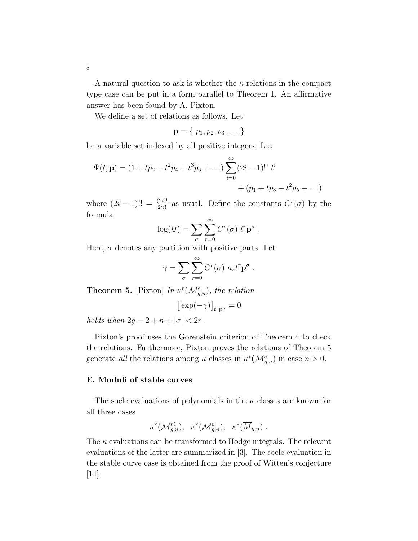A natural question to ask is whether the  $\kappa$  relations in the compact type case can be put in a form parallel to Theorem 1. An affirmative answer has been found by A. Pixton.

We define a set of relations as follows. Let

$$
\mathbf{p}=\{p_1,p_2,p_3,\dots\}
$$

be a variable set indexed by all positive integers. Let

$$
\Psi(t, \mathbf{p}) = (1 + tp_2 + t^2p_4 + t^3p_6 + ...) \sum_{i=0}^{\infty} (2i - 1)!! t^i
$$
  
+ (p<sub>1</sub> + tp<sub>3</sub> + t<sup>2</sup>p<sub>5</sub> + ...)

where  $(2i - 1)!! = \frac{(2i)!}{2^i i!}$  as usual. Define the constants  $C^r(\sigma)$  by the formula

$$
\log(\Psi) = \sum_{\sigma} \sum_{r=0}^{\infty} C^r(\sigma) \ t^r \mathbf{p}^{\sigma} .
$$

Here,  $\sigma$  denotes any partition with positive parts. Let

$$
\gamma = \sum_{\sigma} \sum_{r=0}^{\infty} C^r(\sigma) \kappa_r t^r \mathbf{p}^{\sigma} .
$$

**Theorem 5.** [Pixton] In  $\kappa^r(\mathcal{M}_{g,n}^c)$ , the relation

$$
\big[\exp(-\gamma)\big]_{t^r{\bf p}^\sigma}=0
$$

holds when  $2g - 2 + n + |\sigma| < 2r$ .

Pixton's proof uses the Gorenstein criterion of Theorem 4 to check the relations. Furthermore, Pixton proves the relations of Theorem 5 generate all the relations among  $\kappa$  classes in  $\kappa^*(\mathcal{M}_{g,n}^c)$  in case  $n > 0$ .

# E. Moduli of stable curves

The socle evaluations of polynomials in the  $\kappa$  classes are known for all three cases

$$
\kappa^*({\mathcal{M}}_{g,n}^{rt}), \quad \kappa^*({\mathcal{M}}_{g,n}^c), \quad \kappa^*(\overline{M}_{g,n}) \ .
$$

The  $\kappa$  evaluations can be transformed to Hodge integrals. The relevant evaluations of the latter are summarized in [3]. The socle evaluation in the stable curve case is obtained from the proof of Witten's conjecture [14].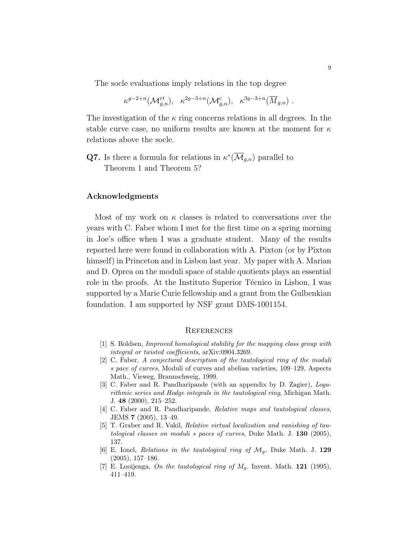The socle evaluations imply relations in the top degree

$$
\kappa^{g-2+n}(\mathcal{M}_{g,n}^{rt}), \quad \kappa^{2g-3+n}(\mathcal{M}_{g,n}^c), \quad \kappa^{3g-3+n}(\overline{M}_{g,n})\ .
$$

The investigation of the  $\kappa$  ring concerns relations in all degrees. In the stable curve case, no uniform results are known at the moment for  $\kappa$ relations above the socle.

**Q7.** Is there a formula for relations in  $\kappa^*(\overline{\mathcal{M}}_{g,n})$  parallel to Theorem 1 and Theorem 5?

#### Acknowledgments

Most of my work on  $\kappa$  classes is related to conversations over the years with C. Faber whom I met for the first time on a spring morning in Joe's office when I was a graduate student. Many of the results reported here were found in collaboration with A. Pixton (or by Pixton himself) in Princeton and in Lisbon last year. My paper with A. Marian and D. Oprea on the moduli space of stable quotients plays an essential role in the proofs. At the Instituto Superior Técnico in Lisbon, I was supported by a Marie Curie fellowship and a grant from the Gulbenkian foundation. I am supported by NSF grant DMS-1001154.

#### **REFERENCES**

- [1] S. Boldsen, Improved homological stability for the mapping class group with integral or twisted coefficients, arXiv:0904.3269.
- [2] C. Faber, A conjectural description of the tautological ring of the moduli s pace of curves, Moduli of curves and abelian varieties, 109–129, Aspects Math., Vieweg, Braunschweig, 1999.
- [3] C. Faber and R. Pandharipande (with an appendix by D. Zagier), Logarithmic series and Hodge integrals in the tautological ring, Michigan Math. J. 48 (2000), 215–252.
- [4] C. Faber and R. Pandharipande, *Relative maps and tautological classes*, JEMS 7 (2005), 13–49.
- [5] T. Graber and R. Vakil, Relative virtual localization and vanishing of tautological classes on moduli s paces of curves, Duke Math. J. 130 (2005), 137.
- [6] E. Ionel, Relations in the tautological ring of  $\mathcal{M}_g$ , Duke Math. J. 129 (2005), 157–186.
- [7] E. Looijenga, On the tautological ring of  $M_q$ . Invent. Math. **121** (1995), 411–419.